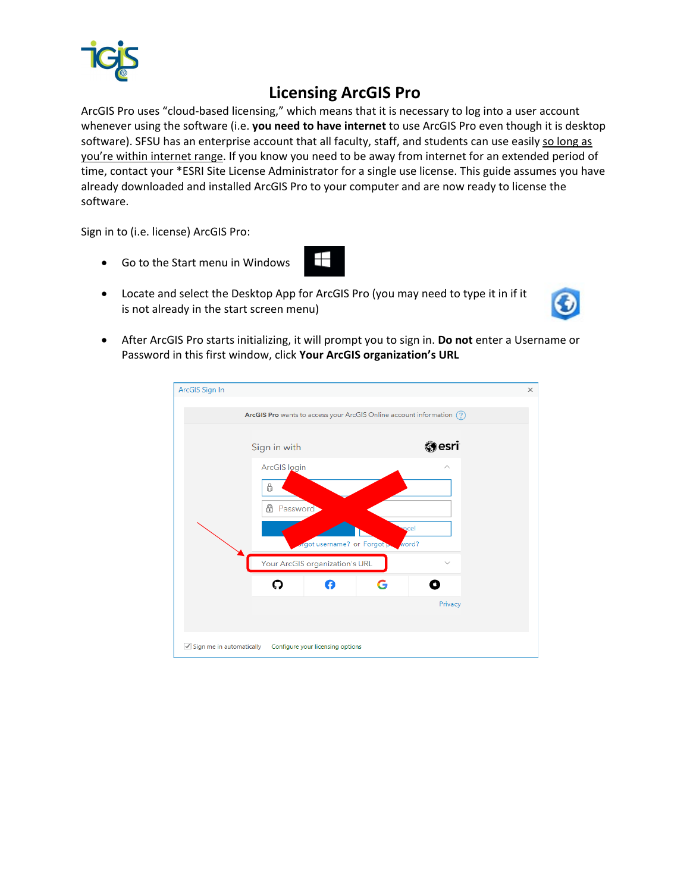

## **Licensing ArcGIS Pro**

ArcGIS Pro uses "cloud-based licensing," which means that it is necessary to log into a user account whenever using the software (i.e. **you need to have internet** to use ArcGIS Pro even though it is desktop software). SFSU has an enterprise account that all faculty, staff, and students can use easily so long as you're within internet range. If you know you need to be away from internet for an extended period of time, contact your \*ESRI Site License Administrator for a single use license. This guide assumes you have already downloaded and installed ArcGIS Pro to your computer and are now ready to license the software.

Sign in to (i.e. license) ArcGIS Pro:

• Go to the Start menu in Windows



• After ArcGIS Pro starts initializing, it will prompt you to sign in. **Do not** enter a Username or Password in this first window, click **Your ArcGIS organization's URL**

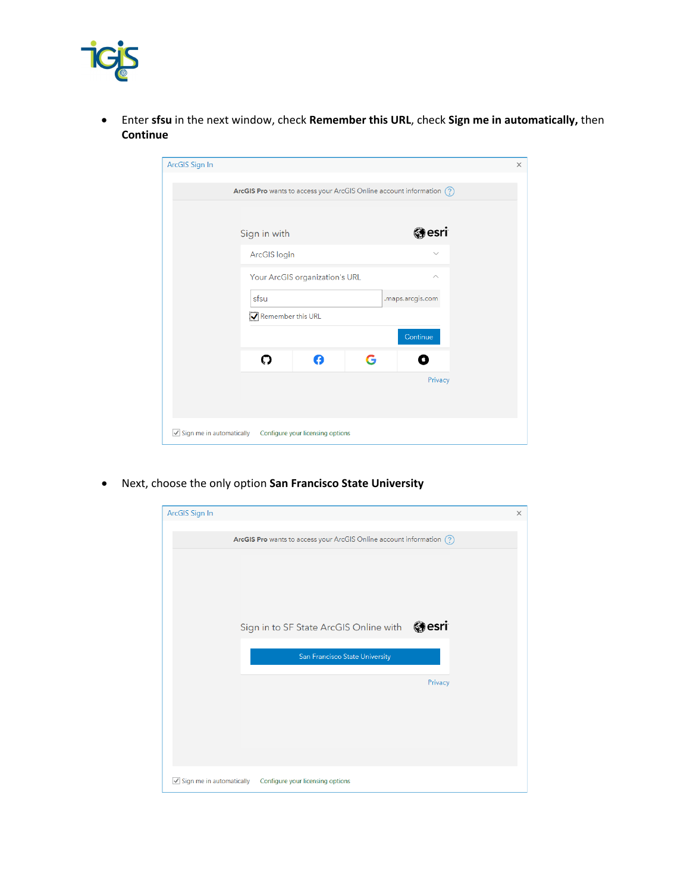

• Enter **sfsu** in the next window, check **Remember this URL**, check **Sign me in automatically,** then **Continue**

| ArcGIS Sign In<br>$\times$                                               |
|--------------------------------------------------------------------------|
| ArcGIS Pro wants to access your ArcGIS Online account information (?)    |
|                                                                          |
| @esri<br>Sign in with                                                    |
| ArcGIS login<br>$\checkmark$                                             |
| Your ArcGIS organization's URL<br>$\wedge$                               |
| sfsu<br>.maps.arcgis.com                                                 |
| Remember this URL                                                        |
| Continue                                                                 |
| Ω<br>G                                                                   |
| Privacy                                                                  |
|                                                                          |
| $\sqrt{\ }$ Sign me in automatically<br>Configure your licensing options |

• Next, choose the only option **San Francisco State University**

| ArcGIS Sign In                       |                                                                       | X       |
|--------------------------------------|-----------------------------------------------------------------------|---------|
|                                      | ArcGIS Pro wants to access your ArcGIS Online account information (?) |         |
|                                      |                                                                       |         |
|                                      |                                                                       |         |
|                                      |                                                                       |         |
|                                      | Sign in to SF State ArcGIS Online with @esri                          |         |
|                                      | San Francisco State University                                        |         |
|                                      |                                                                       | Privacy |
|                                      |                                                                       |         |
|                                      |                                                                       |         |
|                                      |                                                                       |         |
|                                      |                                                                       |         |
| $\sqrt{\ }$ Sign me in automatically | Configure your licensing options                                      |         |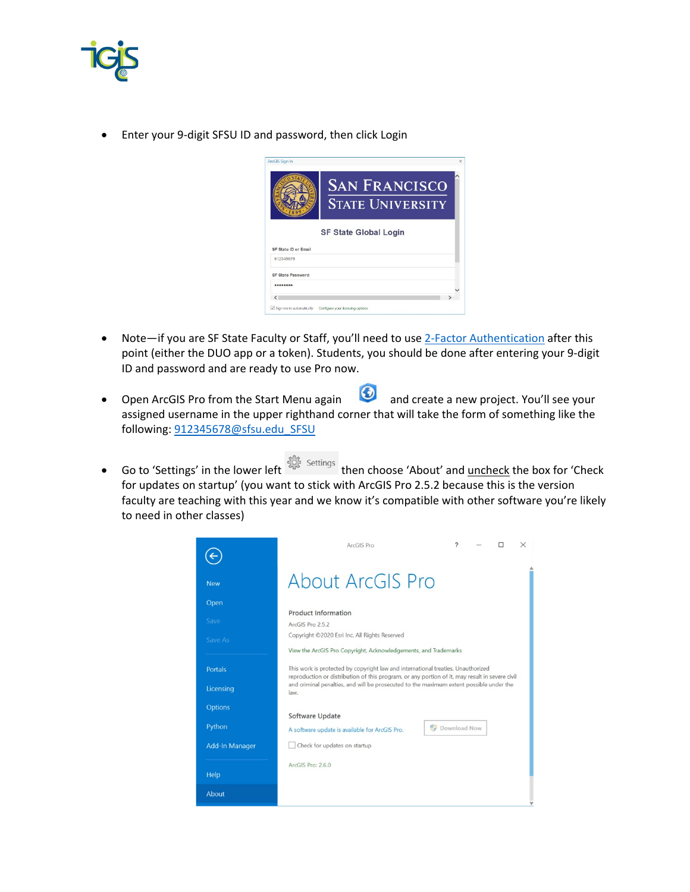

• Enter your 9-digit SFSU ID and password, then click Login



- Note—if you are SF State Faculty or Staff, you'll need to use [2-Factor Authentication](https://its.sfsu.edu/service/twofactorauthentication2fa) after this point (either the DUO app or a token). Students, you should be done after entering your 9-digit ID and password and are ready to use Pro now.
- Open ArcGIS Pro from the Start Menu again **1999** and create a new project. You'll see your assigned username in the upper righthand corner that will take the form of something like the following: [912345678@sfsu.edu\\_SFSU](mailto:912345678@sfsu.edu_SFSU)
- Go to 'Settings' in the lower left settings then choose 'About' and uncheck the box for 'Check for updates on startup' (you want to stick with ArcGIS Pro 2.5.2 because this is the version faculty are teaching with this year and we know it's compatible with other software you're likely to need in other classes)